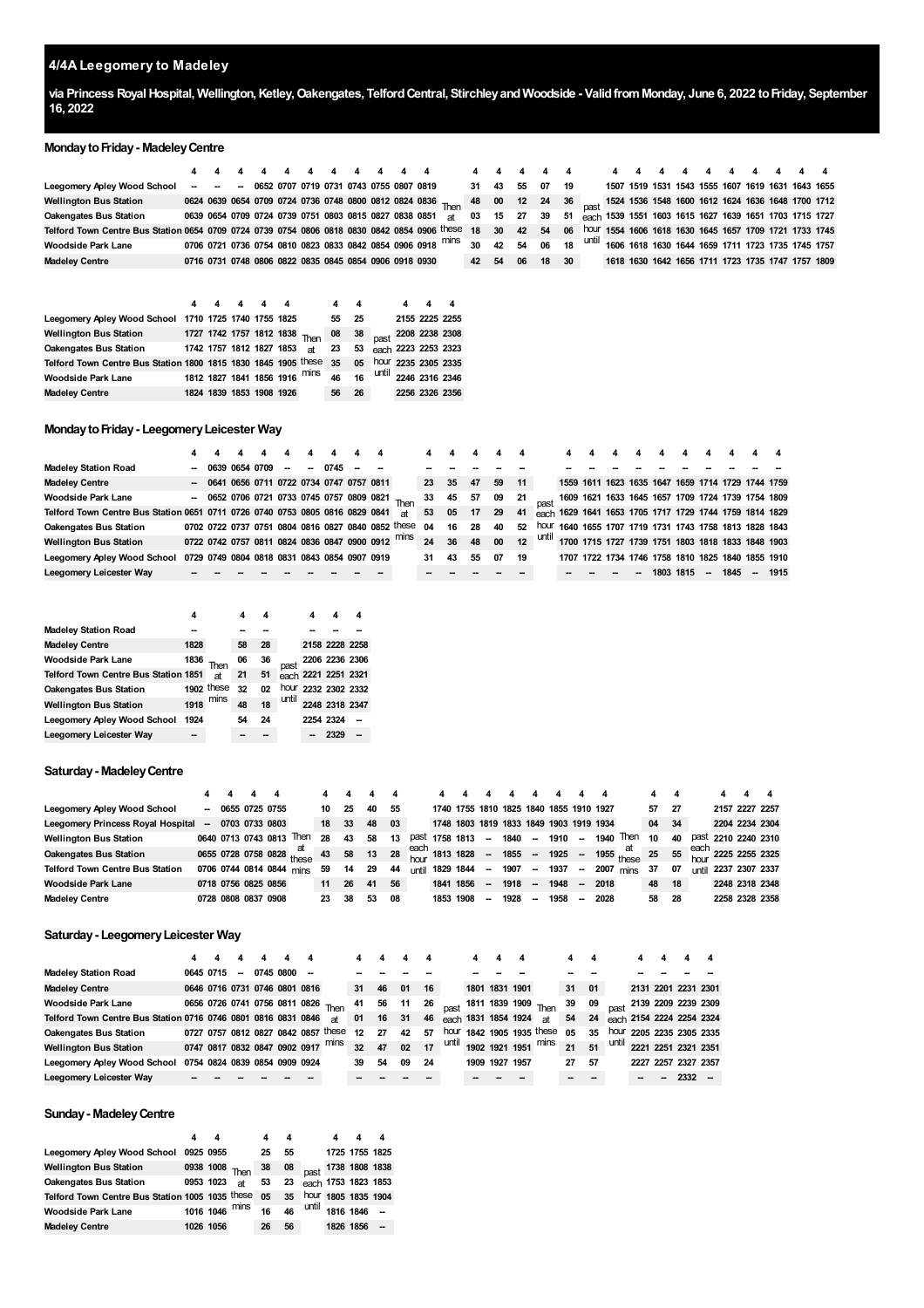# **4/4A Leegomery to Madeley**

via Princess Royal Hospital, Wellington, Ketley, Oakengates, Telford Central, Stirchley and Woodside - Valid from Monday, June 6, 2022 to Friday, September **16, 2022**

#### **Monday to Friday - Madeley Centre**

|                                                                                                 |  |  |  |  |  |                                                        | 4   4   4   4   4   4   4   4   4   4   4   4   4   4   4   4   4 $4$ $4$ $4$ $4$ $4$ $4$ $4$ $4$ $4$ $4$ $4$ $4$ $4$ $4$ $4$ $4$ $4$ $4$ $4$ $4$ $4$ $4$ $4$ $4$ $4$ $4$ | 4 4         |       |    |                                                                            |      | 4 4 |  |  |  |                                                            |  |
|-------------------------------------------------------------------------------------------------|--|--|--|--|--|--------------------------------------------------------|---------------------------------------------------------------------------------------------------------------------------------------------------------------------------|-------------|-------|----|----------------------------------------------------------------------------|------|-----|--|--|--|------------------------------------------------------------|--|
| Leegomery Apley Wood School                                                                     |  |  |  |  |  | - - - 0652 0707 0719 0731 0743 0755 0807 0819          |                                                                                                                                                                           | 31 43       |       | 55 | 07                                                                         | - 19 |     |  |  |  | 1507 1519 1531 1543 1555 1607 1619 1631 1643 1655          |  |
| <b>Wellington Bus Station</b>                                                                   |  |  |  |  |  |                                                        | 0624 0639 0654 0709 0724 0736 0748 0800 0812 0824 0836 Then 48 00                                                                                                         |             |       |    | 12 24 36 <sub>nast</sub> 1524 1536 1548 1600 1612 1624 1636 1648 1700 1712 |      |     |  |  |  |                                                            |  |
| <b>Oakengates Bus Station</b>                                                                   |  |  |  |  |  | 0639 0654 0709 0724 0739 0751 0803 0815 0827 0838 0851 | at                                                                                                                                                                        | 03 15 27 39 |       |    |                                                                            | 51   |     |  |  |  | each 1539 1551 1603 1615 1627 1639 1651 1703 1715 1727     |  |
| Telford Town Centre Bus Station 0654 0709 0724 0739 0754 0806 0818 0830 0842 0854 0906 these 18 |  |  |  |  |  |                                                        |                                                                                                                                                                           |             | 30 42 |    | 54                                                                         | 06   |     |  |  |  | hour 1554 1606 1618 1630 1645 1657 1709 1721 1733 1745     |  |
| Woodside Park Lane                                                                              |  |  |  |  |  |                                                        | 0706 0721 0736 0754 0810 0823 0833 0842 0854 0906 0918 mins 30 42 54 06                                                                                                   |             |       |    |                                                                            |      |     |  |  |  | 18 until 1606 1618 1630 1644 1659 1711 1723 1735 1745 1757 |  |
| <b>Madelev Centre</b>                                                                           |  |  |  |  |  | 0716 0731 0748 0806 0822 0835 0845 0854 0906 0918 0930 |                                                                                                                                                                           | 42 54       |       | 06 | 18                                                                         | 30   |     |  |  |  | 1618 1630 1642 1656 1711 1723 1735 1747 1757 1809          |  |

|                                                                      |  | 444                      |  |                                                         |    |    |  |                                    |
|----------------------------------------------------------------------|--|--------------------------|--|---------------------------------------------------------|----|----|--|------------------------------------|
| Leegomery Apley Wood School 1710 1725 1740 1755 1825                 |  |                          |  |                                                         | 55 | 25 |  | 2155 2225 2255                     |
| <b>Wellington Bus Station</b>                                        |  |                          |  | 1727 1742 1757 1812 1838 Then 08 38 past 2208 2238 2308 |    |    |  |                                    |
| <b>Oakengates Bus Station</b>                                        |  |                          |  | 1742 1757 1812 1827 1853 at 23 53 each 2223 2253 2323   |    |    |  |                                    |
| Telford Town Centre Bus Station 1800 1815 1830 1845 1905 these 35 05 |  |                          |  |                                                         |    |    |  | hour 2235 2305 2335                |
| <b>Woodside Park Lane</b>                                            |  |                          |  | 1812 1827 1841 1856 1916 mins                           | 46 | 16 |  | $\frac{1}{2}$ until 2246 2316 2346 |
| <b>Madeley Centre</b>                                                |  | 1824 1839 1853 1908 1926 |  |                                                         | 56 | 26 |  | 2256 2326 2356                     |

#### **MondaytoFriday- LeegomeryLeicester Way**

| <b>Madeley Station Road</b>                                                  | 0639 0654 0709 |  | $\overline{\phantom{a}}$                     | $\sim$ | 0745 |  |                                                    |    |    |    |    |      |       |                                                        |  |      |      |      |    |      |
|------------------------------------------------------------------------------|----------------|--|----------------------------------------------|--------|------|--|----------------------------------------------------|----|----|----|----|------|-------|--------------------------------------------------------|--|------|------|------|----|------|
| <b>Madeley Centre</b>                                                        |                |  | - 0641 0656 0711 0722 0734 0747 0757 0811    |        |      |  |                                                    | 23 | 35 | 47 | 59 | 11   |       | 1559 1611 1623 1635 1647 1659 1714 1729 1744 1759      |  |      |      |      |    |      |
| <b>Woodside Park Lane</b>                                                    |                |  |                                              |        |      |  | $-$ 0652 0706 0721 0733 0745 0757 0809 0821 Then   | 33 | 45 | 57 | 09 | - 21 |       | 1609 1621 1633 1645 1657 1709 1724 1739 1754 1809      |  |      |      |      |    |      |
| Telford Town Centre Bus Station 0651 0711 0726 0740 0753 0805 0816 0829 0841 |                |  |                                              |        |      |  | яt                                                 | 53 | 05 | 17 | 29 | 41   |       | each 1629 1641 1653 1705 1717 1729 1744 1759 1814 1829 |  |      |      |      |    |      |
| <b>Oakengates Bus Station</b>                                                |                |  |                                              |        |      |  | 0702 0722 0737 0751 0804 0816 0827 0840 0852 these | 04 | 16 | 28 | 40 | 52   | hour  | 1640 1655 1707 1719 1731 1743 1758 1813 1828 1843      |  |      |      |      |    |      |
| <b>Wellington Bus Station</b>                                                |                |  |                                              |        |      |  | 0722 0742 0757 0811 0824 0836 0847 0900 0912 mins  | 24 | 36 | 48 | 00 | 12   | until | 1700 1715 1727 1739 1751 1803 1818 1833 1848 1903      |  |      |      |      |    |      |
| Leegomery Apley Wood School                                                  |                |  | 0729 0749 0804 0818 0831 0843 0854 0907 0919 |        |      |  |                                                    | 31 | 43 | 55 | 07 | 19   |       | 1707 1722 1734 1746 1758 1810 1825 1840 1855 1910      |  |      |      |      |    |      |
| Leegomery Leicester Way                                                      |                |  |                                              |        |      |  |                                                    |    |    |    |    |      |       |                                                        |  | 1803 | 1815 | 1845 | -- | 1915 |

|                                      | 4    |            | 4  | 4  |       | 4         | 4                   | 4 |
|--------------------------------------|------|------------|----|----|-------|-----------|---------------------|---|
| <b>Madeley Station Road</b>          |      |            |    |    |       |           |                     |   |
| <b>Madeley Centre</b>                | 1828 |            | 58 | 28 |       |           | 2158 2228 2258      |   |
| Woodside Park Lane                   | 1836 | Then       | 06 | 36 | past  |           | 2206 2236 2306      |   |
| Telford Town Centre Bus Station 1851 |      | at         | 21 | 51 |       |           | each 2221 2251 2321 |   |
| Oakengates Bus Station               |      | 1902 these | 32 | 02 |       |           | hour 2232 2302 2332 |   |
| Wellington Bus Station               | 1918 | mins       | 48 | 18 | until |           | 2248 2318 2347      |   |
| Leegomery Apley Wood School          | 1924 |            | 54 | 24 |       | 2254 2324 |                     |   |
| Leegomery Leicester Way              |      |            |    |    |       |           | 2329                |   |
|                                      |      |            |    |    |       |           |                     |   |

#### **Saturday- MadeleyCentre**

| Leegomery Apley Wood School            | -                        |  | 0655 0725 0755      |                                        | 10 | 25    | 40 | 55 |              |           |           |        | 1740 1755 1810 1825 1840 1855 1910 1927 |        |      |        |           |                                                                                                                                                             | 57 | - 27 |         | 2157 2227 2257 |                |
|----------------------------------------|--------------------------|--|---------------------|----------------------------------------|----|-------|----|----|--------------|-----------|-----------|--------|-----------------------------------------|--------|------|--------|-----------|-------------------------------------------------------------------------------------------------------------------------------------------------------------|----|------|---------|----------------|----------------|
| Leegomery Princess Royal Hospital      | $\overline{\phantom{a}}$ |  | 0703 0733 0803      |                                        | 18 | 33    | 48 | 03 |              |           |           |        | 1748 1803 1819 1833 1849 1903 1919 1934 |        |      |        |           |                                                                                                                                                             | 04 | - 34 |         |                | 2204 2234 2304 |
| <b>Wellington Bus Station</b>          |                          |  | 0640 0713 0743 0813 | Then                                   | 28 | 43    | 58 | 13 | past         | 1758 1813 |           | --     | 1840                                    |        | 1910 |        | 1940 Then |                                                                                                                                                             | 10 | 40   | past    |                | 2210 2240 2310 |
| <b>Oakengates Bus Station</b>          |                          |  |                     | 0655 0728 0758 0828 $\frac{at}{these}$ | 43 | 58 13 |    |    |              |           |           |        |                                         |        |      |        |           | 28 $\frac{\text{each}}{\text{hour}}$ 1813 1828 - 1855 - 1925 - 1955 $\frac{\text{at}}{\text{these}}$ 25 55 $\frac{\text{each}}{\text{hour}}$ 2225 2255 2325 |    |      |         |                |                |
| <b>Telford Town Centre Bus Station</b> |                          |  |                     | 0706 0744 0814 0844 mins               | 59 | 14    | 29 | 44 | <b>until</b> | 1829 1844 |           | $\sim$ | 1907                                    | $\sim$ | 1937 | $\sim$ |           | 2007 mins                                                                                                                                                   | 37 | 07   | ı ıntil |                | 2237 2307 2337 |
| <b>Woodside Park Lane</b>              |                          |  | 0718 0756 0825 0856 |                                        | 11 | 26    | 41 | 56 |              | 1841      | 1856      | -      | 1918                                    | $\sim$ | 1948 | --     | 2018      |                                                                                                                                                             | 48 | - 18 |         |                | 2248 2318 2348 |
| <b>Madeley Centre</b>                  |                          |  | 0728 0808 0837 0908 |                                        | 23 | 38    | 53 | 08 |              |           | 1853 1908 | --     | 1928                                    | $\sim$ | 1958 | -      | 2028      |                                                                                                                                                             | 58 | - 28 |         |                | 2258 2328 2358 |

## **Saturday- LeegomeryLeicester Way**

|                                                               |           |                          |                               |  |                                     |    |       | 4    | 4  |                     | 4              |                            | 4     | 4  |  |                     |                           |
|---------------------------------------------------------------|-----------|--------------------------|-------------------------------|--|-------------------------------------|----|-------|------|----|---------------------|----------------|----------------------------|-------|----|--|---------------------|---------------------------|
| <b>Madeley Station Road</b>                                   | 0645 0715 | $\overline{\phantom{a}}$ | 0745 0800                     |  |                                     |    |       |      |    |                     |                |                            |       |    |  |                     |                           |
| <b>Madeley Centre</b>                                         |           |                          | 0646 0716 0731 0746 0801 0816 |  |                                     | 31 | 46    | 01   | 16 |                     | 1801 1831 1901 |                            | 31    | 01 |  | 2131 2201 2231 2301 |                           |
| <b>Woodside Park Lane</b>                                     |           |                          |                               |  | 0656 0726 0741 0756 0811 0826 Then  | 41 | 56    | - 11 | 26 |                     |                | $\sim$ 1811 1839 1909 Then | 39 09 |    |  | 2139 2209 2239 2309 |                           |
| Telford Town Centre Bus Station 0716 0746 0801 0816 0831 0846 |           |                          |                               |  | <b>at</b>                           | 01 | 16 31 |      | 46 | each 1831 1854 1924 |                | at                         | 54    | 24 |  |                     | each 2154 2224 2254 2324  |
| <b>Oakengates Bus Station</b>                                 |           |                          |                               |  | 0727 0757 0812 0827 0842 0857 these | 12 | 27    | 42   | 57 |                     |                | hour 1842 1905 1935 these  | 05    | 35 |  |                     | hour 2205 2235 2305 2335  |
| <b>Wellington Bus Station</b>                                 |           |                          | 0747 0817 0832 0847 0902 0917 |  | mins                                | 32 | 47    | 02   | 17 |                     |                | until 1902 1921 1951 mins  | 21    | 51 |  |                     | until 2221 2251 2321 2351 |
| Leegomery Apley Wood School                                   |           |                          | 0754 0824 0839 0854 0909 0924 |  |                                     | 39 | 54    | 09   | 24 |                     | 1909 1927 1957 |                            | 27    | 57 |  | 2227 2257 2327 2357 |                           |
| Leegomery Leicester Way                                       |           |                          |                               |  |                                     |    |       |      |    |                     |                |                            |       |    |  |                     |                           |

## **Sunday- MadeleyCentre**

|                                                 | 4         |                |    | 4  |       |                     | 4 |
|-------------------------------------------------|-----------|----------------|----|----|-------|---------------------|---|
| Leegomery Apley Wood School                     | 0925 0955 |                | 25 | 55 |       | 1725 1755 1825      |   |
| <b>Wellington Bus Station</b>                   |           | 0938 1008 Then | 38 | 08 | past  | 1738 1808 1838      |   |
| <b>Oakengates Bus Station</b>                   | 0953 1023 | <b>at</b>      | 53 | 23 |       | each 1753 1823 1853 |   |
| Telford Town Centre Bus Station 1005 1035 these |           |                | 05 | 35 |       | hour 1805 1835 1904 |   |
| <b>Woodside Park Lane</b>                       | 1016 1046 | mins           | 16 | 46 | until | 1816 1846           |   |
| <b>Madeley Centre</b>                           | 1026 1056 |                | 26 | 56 |       | 1826 1856           |   |